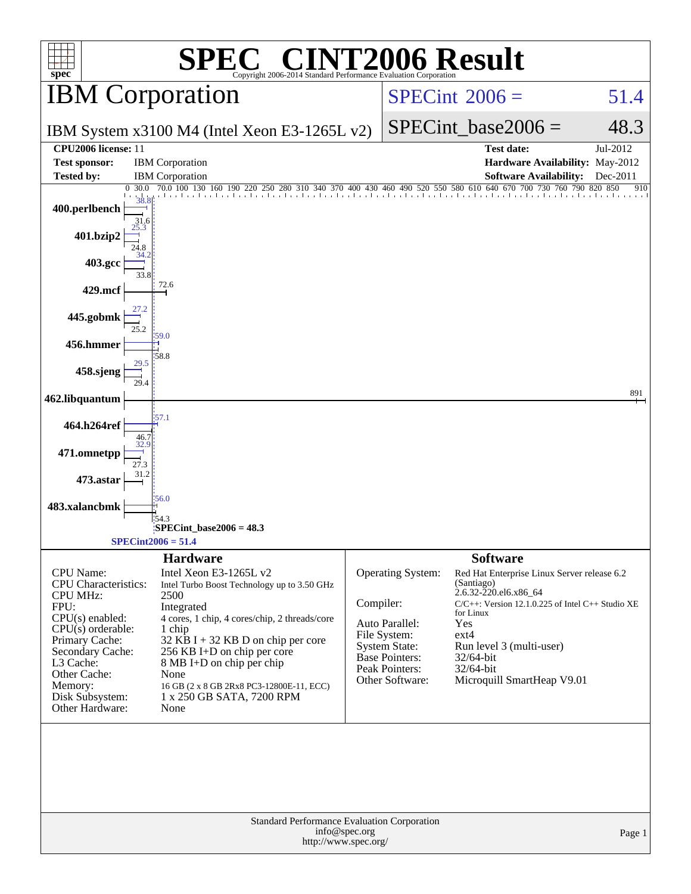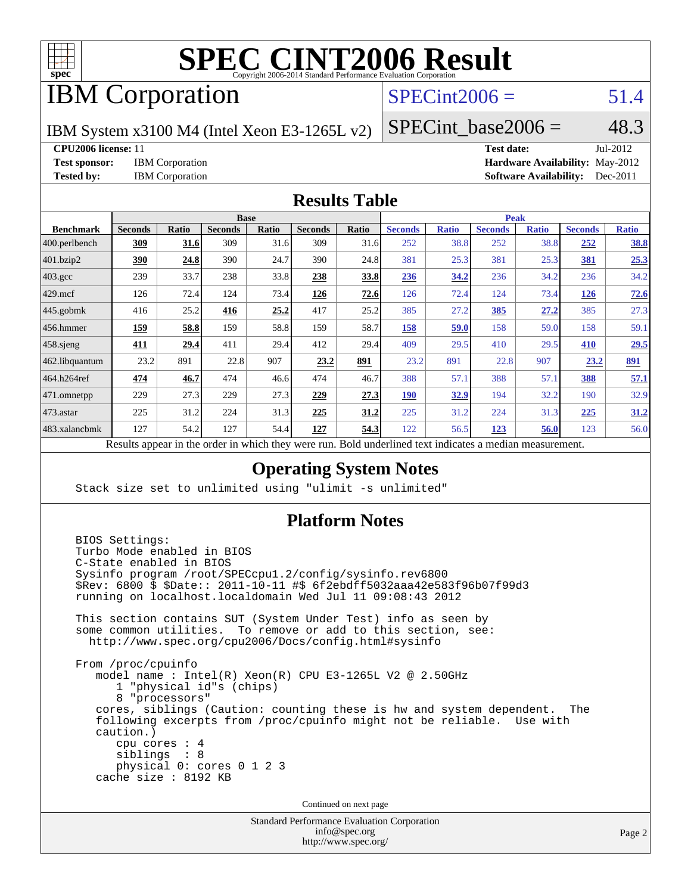

## IBM Corporation

### $SPECint2006 = 51.4$  $SPECint2006 = 51.4$

IBM System x3100 M4 (Intel Xeon E3-1265L v2)

 $SPECTnt\_base2006 = 48.3$ 

**[CPU2006 license:](http://www.spec.org/auto/cpu2006/Docs/result-fields.html#CPU2006license)** 11 **[Test date:](http://www.spec.org/auto/cpu2006/Docs/result-fields.html#Testdate)** Jul-2012 **[Test sponsor:](http://www.spec.org/auto/cpu2006/Docs/result-fields.html#Testsponsor)** IBM Corporation **[Hardware Availability:](http://www.spec.org/auto/cpu2006/Docs/result-fields.html#HardwareAvailability)** May-2012 **[Tested by:](http://www.spec.org/auto/cpu2006/Docs/result-fields.html#Testedby)** IBM Corporation **[Software Availability:](http://www.spec.org/auto/cpu2006/Docs/result-fields.html#SoftwareAvailability)** Dec-2011

#### **[Results Table](http://www.spec.org/auto/cpu2006/Docs/result-fields.html#ResultsTable)**

|                    | <b>Base</b>                            |       |                                |              |                |             | <b>Peak</b>                                                                                                                                                                                                                                                                                      |              |                |              |                |              |
|--------------------|----------------------------------------|-------|--------------------------------|--------------|----------------|-------------|--------------------------------------------------------------------------------------------------------------------------------------------------------------------------------------------------------------------------------------------------------------------------------------------------|--------------|----------------|--------------|----------------|--------------|
| <b>Benchmark</b>   | <b>Seconds</b>                         | Ratio | <b>Seconds</b>                 | <b>Ratio</b> | <b>Seconds</b> | Ratio       | <b>Seconds</b>                                                                                                                                                                                                                                                                                   | <b>Ratio</b> | <b>Seconds</b> | <b>Ratio</b> | <b>Seconds</b> | <b>Ratio</b> |
| $ 400$ .perlbench  | 309                                    | 31.6  | 309                            | 31.6         | 309            | 31.6        | 252                                                                                                                                                                                                                                                                                              | 38.8         | 252            | 38.8         | 252            | <u>38.8</u>  |
| 401.bzip2          | 390                                    | 24.8  | 390                            | 24.7         | 390            | 24.8        | 381                                                                                                                                                                                                                                                                                              | 25.3         | 381            | 25.3         | 381            | 25.3         |
| $403.\mathrm{gcc}$ | 239                                    | 33.7  | 238                            | 33.8         | 238            | 33.8        | 236                                                                                                                                                                                                                                                                                              | 34.2         | 236            | 34.2         | 236            | 34.2         |
| $429$ .mcf         | 126                                    | 72.4  | 124                            | 73.4         | <u>126</u>     | 72.6        | 126                                                                                                                                                                                                                                                                                              | 72.4         | 124            | 73.4         | <u>126</u>     | 72.6         |
| $445$ .gobmk       | 416                                    | 25.2  | 416                            | 25.2         | 417            | 25.2        | 385                                                                                                                                                                                                                                                                                              | 27.2         | 385            | 27.2         | 385            | 27.3         |
| $456.$ hmmer       | 159                                    | 58.8  | 159                            | 58.8         | 159            | 58.7        | 158                                                                                                                                                                                                                                                                                              | 59.0         | 158            | 59.0         | 158            | 59.1         |
| $458$ .sjeng       | 411                                    | 29.4  | 411                            | 29.4         | 412            | 29.4        | 409                                                                                                                                                                                                                                                                                              | 29.5         | 410            | 29.5         | <u>410</u>     | 29.5         |
| 462.libquantum     | 23.2                                   | 891   | 22.8                           | 907          | 23.2           | 891         | 23.2                                                                                                                                                                                                                                                                                             | 891          | 22.8           | 907          | 23.2           | 891          |
| 464.h264ref        | 474                                    | 46.7  | 474                            | 46.6         | 474            | 46.7        | 388                                                                                                                                                                                                                                                                                              | 57.1         | 388            | 57.1         | 388            | 57.1         |
| 471.omnetpp        | 229                                    | 27.3  | 229                            | 27.3         | 229            | 27.3        | <u>190</u>                                                                                                                                                                                                                                                                                       | 32.9         | 194            | 32.2         | 190            | 32.9         |
| $473$ . astar      | 225                                    | 31.2  | 224                            | 31.3         | 225            | <u>31.2</u> | 225                                                                                                                                                                                                                                                                                              | 31.2         | 224            | 31.3         | 225            | 31.2         |
| 483.xalancbmk      | 127                                    | 54.2  | 127                            | 54.4         | 127            | 54.3        | 122                                                                                                                                                                                                                                                                                              | 56.5         | 123            | <u>56.0</u>  | 123            | 56.0         |
|                    | $\mathbf{D}$ $\mathbf{D}$ $\mathbf{D}$ | 2.141 | $-1.5 - 1.5 - 1.5 - 1.5 - 1.5$ |              |                |             | $\mathbf{D}$ and $\mathbf{I}$ and $\mathbf{I}$ and $\mathbf{I}$ are $\mathbf{I}$ and $\mathbf{I}$ are $\mathbf{I}$ and $\mathbf{I}$ are $\mathbf{I}$ and $\mathbf{I}$ are $\mathbf{I}$ and $\mathbf{I}$ are $\mathbf{I}$ and $\mathbf{I}$ are $\mathbf{I}$ and $\mathbf{I}$ are $\mathbf{I}$ and | $-11.141$    |                |              |                |              |

Results appear in the [order in which they were run.](http://www.spec.org/auto/cpu2006/Docs/result-fields.html#RunOrder) Bold underlined text [indicates a median measurement.](http://www.spec.org/auto/cpu2006/Docs/result-fields.html#Median)

#### **[Operating System Notes](http://www.spec.org/auto/cpu2006/Docs/result-fields.html#OperatingSystemNotes)**

Stack size set to unlimited using "ulimit -s unlimited"

#### **[Platform Notes](http://www.spec.org/auto/cpu2006/Docs/result-fields.html#PlatformNotes)**

 BIOS Settings: Turbo Mode enabled in BIOS C-State enabled in BIOS Sysinfo program /root/SPECcpu1.2/config/sysinfo.rev6800 \$Rev: 6800 \$ \$Date:: 2011-10-11 #\$ 6f2ebdff5032aaa42e583f96b07f99d3 running on localhost.localdomain Wed Jul 11 09:08:43 2012 This section contains SUT (System Under Test) info as seen by some common utilities. To remove or add to this section, see: <http://www.spec.org/cpu2006/Docs/config.html#sysinfo> From /proc/cpuinfo model name : Intel(R) Xeon(R) CPU E3-1265L V2 @ 2.50GHz 1 "physical id"s (chips) 8 "processors" cores, siblings (Caution: counting these is hw and system dependent. The following excerpts from /proc/cpuinfo might not be reliable. Use with caution.) cpu cores : 4 siblings : 8 physical 0: cores 0 1 2 3 cache size : 8192 KB Continued on next page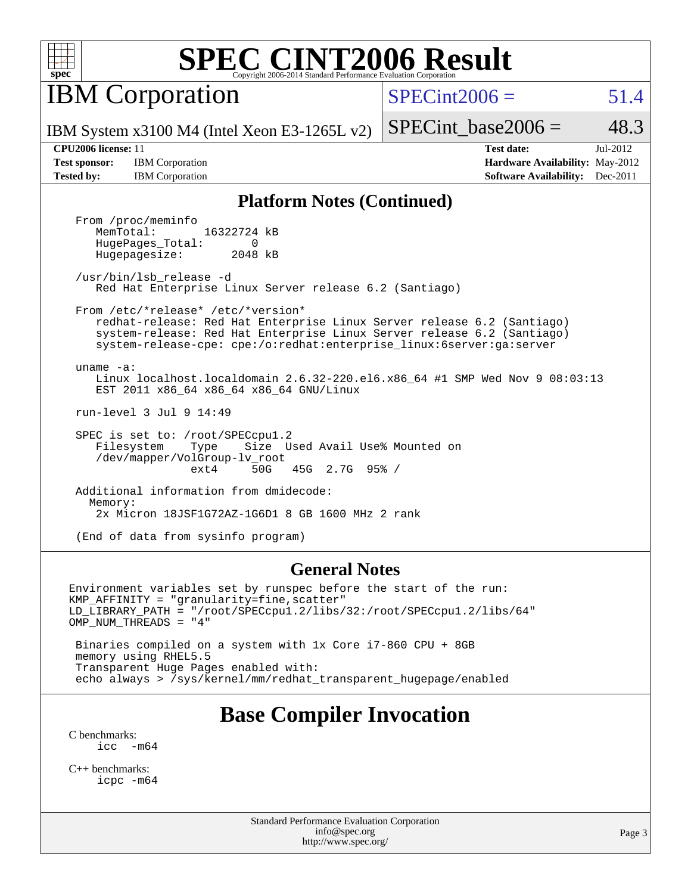

IBM Corporation

 $SPECint2006 = 51.4$  $SPECint2006 = 51.4$ 

IBM System x3100 M4 (Intel Xeon E3-1265L v2)

SPECint base2006 =  $48.3$ 

**[Tested by:](http://www.spec.org/auto/cpu2006/Docs/result-fields.html#Testedby)** IBM Corporation **[Software Availability:](http://www.spec.org/auto/cpu2006/Docs/result-fields.html#SoftwareAvailability)** Dec-2011

**[CPU2006 license:](http://www.spec.org/auto/cpu2006/Docs/result-fields.html#CPU2006license)** 11 **[Test date:](http://www.spec.org/auto/cpu2006/Docs/result-fields.html#Testdate)** Jul-2012 **[Test sponsor:](http://www.spec.org/auto/cpu2006/Docs/result-fields.html#Testsponsor)** IBM Corporation **[Hardware Availability:](http://www.spec.org/auto/cpu2006/Docs/result-fields.html#HardwareAvailability)** May-2012

#### **[Platform Notes \(Continued\)](http://www.spec.org/auto/cpu2006/Docs/result-fields.html#PlatformNotes)**

From /proc/meminfo<br>MemTotal: 16322724 kB HugePages\_Total: 0<br>Hugepagesize: 2048 kB Hugepagesize:

 /usr/bin/lsb\_release -d Red Hat Enterprise Linux Server release 6.2 (Santiago)

 From /etc/\*release\* /etc/\*version\* redhat-release: Red Hat Enterprise Linux Server release 6.2 (Santiago)

 system-release: Red Hat Enterprise Linux Server release 6.2 (Santiago) system-release-cpe: cpe:/o:redhat:enterprise\_linux:6server:ga:server

 uname -a: Linux localhost.localdomain 2.6.32-220.el6.x86\_64 #1 SMP Wed Nov 9 08:03:13 EST 2011 x86\_64 x86\_64 x86\_64 GNU/Linux

run-level 3 Jul 9 14:49

 SPEC is set to: /root/SPECcpu1.2 Filesystem Type Size Used Avail Use% Mounted on /dev/mapper/VolGroup-lv\_root ext4 50G 45G 2.7G 95% /

 Additional information from dmidecode: Memory: 2x Micron 18JSF1G72AZ-1G6D1 8 GB 1600 MHz 2 rank

(End of data from sysinfo program)

#### **[General Notes](http://www.spec.org/auto/cpu2006/Docs/result-fields.html#GeneralNotes)**

Environment variables set by runspec before the start of the run: KMP\_AFFINITY = "granularity=fine,scatter" LD\_LIBRARY\_PATH = "/root/SPECcpu1.2/libs/32:/root/SPECcpu1.2/libs/64" OMP NUM THREADS = "4"

 Binaries compiled on a system with 1x Core i7-860 CPU + 8GB memory using RHEL5.5 Transparent Huge Pages enabled with: echo always > /sys/kernel/mm/redhat\_transparent\_hugepage/enabled

### **[Base Compiler Invocation](http://www.spec.org/auto/cpu2006/Docs/result-fields.html#BaseCompilerInvocation)**

[C benchmarks](http://www.spec.org/auto/cpu2006/Docs/result-fields.html#Cbenchmarks):  $\text{icc}$   $-\text{m64}$ 

[C++ benchmarks:](http://www.spec.org/auto/cpu2006/Docs/result-fields.html#CXXbenchmarks) [icpc -m64](http://www.spec.org/cpu2006/results/res2012q3/cpu2006-20120716-23678.flags.html#user_CXXbase_intel_icpc_64bit_fc66a5337ce925472a5c54ad6a0de310)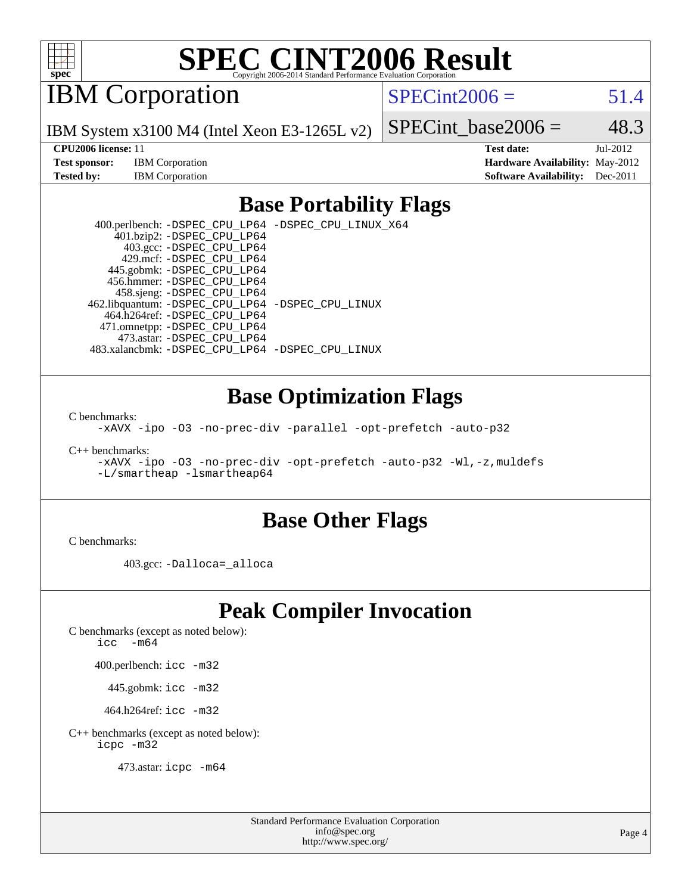

IBM Corporation

 $SPECint2006 = 51.4$  $SPECint2006 = 51.4$ 

IBM System x3100 M4 (Intel Xeon E3-1265L v2)

**[Test sponsor:](http://www.spec.org/auto/cpu2006/Docs/result-fields.html#Testsponsor)** IBM Corporation **[Hardware Availability:](http://www.spec.org/auto/cpu2006/Docs/result-fields.html#HardwareAvailability)** May-2012 **[Tested by:](http://www.spec.org/auto/cpu2006/Docs/result-fields.html#Testedby)** IBM Corporation **[Software Availability:](http://www.spec.org/auto/cpu2006/Docs/result-fields.html#SoftwareAvailability)** Dec-2011

SPECint base2006 =  $48.3$ **[CPU2006 license:](http://www.spec.org/auto/cpu2006/Docs/result-fields.html#CPU2006license)** 11 **[Test date:](http://www.spec.org/auto/cpu2006/Docs/result-fields.html#Testdate)** Jul-2012

# **[Base Portability Flags](http://www.spec.org/auto/cpu2006/Docs/result-fields.html#BasePortabilityFlags)**

 400.perlbench: [-DSPEC\\_CPU\\_LP64](http://www.spec.org/cpu2006/results/res2012q3/cpu2006-20120716-23678.flags.html#b400.perlbench_basePORTABILITY_DSPEC_CPU_LP64) [-DSPEC\\_CPU\\_LINUX\\_X64](http://www.spec.org/cpu2006/results/res2012q3/cpu2006-20120716-23678.flags.html#b400.perlbench_baseCPORTABILITY_DSPEC_CPU_LINUX_X64) 401.bzip2: [-DSPEC\\_CPU\\_LP64](http://www.spec.org/cpu2006/results/res2012q3/cpu2006-20120716-23678.flags.html#suite_basePORTABILITY401_bzip2_DSPEC_CPU_LP64) 403.gcc: [-DSPEC\\_CPU\\_LP64](http://www.spec.org/cpu2006/results/res2012q3/cpu2006-20120716-23678.flags.html#suite_basePORTABILITY403_gcc_DSPEC_CPU_LP64) 429.mcf: [-DSPEC\\_CPU\\_LP64](http://www.spec.org/cpu2006/results/res2012q3/cpu2006-20120716-23678.flags.html#suite_basePORTABILITY429_mcf_DSPEC_CPU_LP64) 445.gobmk: [-DSPEC\\_CPU\\_LP64](http://www.spec.org/cpu2006/results/res2012q3/cpu2006-20120716-23678.flags.html#suite_basePORTABILITY445_gobmk_DSPEC_CPU_LP64) 456.hmmer: [-DSPEC\\_CPU\\_LP64](http://www.spec.org/cpu2006/results/res2012q3/cpu2006-20120716-23678.flags.html#suite_basePORTABILITY456_hmmer_DSPEC_CPU_LP64) 458.sjeng: [-DSPEC\\_CPU\\_LP64](http://www.spec.org/cpu2006/results/res2012q3/cpu2006-20120716-23678.flags.html#suite_basePORTABILITY458_sjeng_DSPEC_CPU_LP64) 462.libquantum: [-DSPEC\\_CPU\\_LP64](http://www.spec.org/cpu2006/results/res2012q3/cpu2006-20120716-23678.flags.html#suite_basePORTABILITY462_libquantum_DSPEC_CPU_LP64) [-DSPEC\\_CPU\\_LINUX](http://www.spec.org/cpu2006/results/res2012q3/cpu2006-20120716-23678.flags.html#b462.libquantum_baseCPORTABILITY_DSPEC_CPU_LINUX) 464.h264ref: [-DSPEC\\_CPU\\_LP64](http://www.spec.org/cpu2006/results/res2012q3/cpu2006-20120716-23678.flags.html#suite_basePORTABILITY464_h264ref_DSPEC_CPU_LP64) 471.omnetpp: [-DSPEC\\_CPU\\_LP64](http://www.spec.org/cpu2006/results/res2012q3/cpu2006-20120716-23678.flags.html#suite_basePORTABILITY471_omnetpp_DSPEC_CPU_LP64) 473.astar: [-DSPEC\\_CPU\\_LP64](http://www.spec.org/cpu2006/results/res2012q3/cpu2006-20120716-23678.flags.html#suite_basePORTABILITY473_astar_DSPEC_CPU_LP64) 483.xalancbmk: [-DSPEC\\_CPU\\_LP64](http://www.spec.org/cpu2006/results/res2012q3/cpu2006-20120716-23678.flags.html#suite_basePORTABILITY483_xalancbmk_DSPEC_CPU_LP64) [-DSPEC\\_CPU\\_LINUX](http://www.spec.org/cpu2006/results/res2012q3/cpu2006-20120716-23678.flags.html#b483.xalancbmk_baseCXXPORTABILITY_DSPEC_CPU_LINUX)

### **[Base Optimization Flags](http://www.spec.org/auto/cpu2006/Docs/result-fields.html#BaseOptimizationFlags)**

[C benchmarks](http://www.spec.org/auto/cpu2006/Docs/result-fields.html#Cbenchmarks):

[-xAVX](http://www.spec.org/cpu2006/results/res2012q3/cpu2006-20120716-23678.flags.html#user_CCbase_f-xAVX) [-ipo](http://www.spec.org/cpu2006/results/res2012q3/cpu2006-20120716-23678.flags.html#user_CCbase_f-ipo) [-O3](http://www.spec.org/cpu2006/results/res2012q3/cpu2006-20120716-23678.flags.html#user_CCbase_f-O3) [-no-prec-div](http://www.spec.org/cpu2006/results/res2012q3/cpu2006-20120716-23678.flags.html#user_CCbase_f-no-prec-div) [-parallel](http://www.spec.org/cpu2006/results/res2012q3/cpu2006-20120716-23678.flags.html#user_CCbase_f-parallel) [-opt-prefetch](http://www.spec.org/cpu2006/results/res2012q3/cpu2006-20120716-23678.flags.html#user_CCbase_f-opt-prefetch) [-auto-p32](http://www.spec.org/cpu2006/results/res2012q3/cpu2006-20120716-23678.flags.html#user_CCbase_f-auto-p32)

[C++ benchmarks:](http://www.spec.org/auto/cpu2006/Docs/result-fields.html#CXXbenchmarks)

[-xAVX](http://www.spec.org/cpu2006/results/res2012q3/cpu2006-20120716-23678.flags.html#user_CXXbase_f-xAVX) [-ipo](http://www.spec.org/cpu2006/results/res2012q3/cpu2006-20120716-23678.flags.html#user_CXXbase_f-ipo) [-O3](http://www.spec.org/cpu2006/results/res2012q3/cpu2006-20120716-23678.flags.html#user_CXXbase_f-O3) [-no-prec-div](http://www.spec.org/cpu2006/results/res2012q3/cpu2006-20120716-23678.flags.html#user_CXXbase_f-no-prec-div) [-opt-prefetch](http://www.spec.org/cpu2006/results/res2012q3/cpu2006-20120716-23678.flags.html#user_CXXbase_f-opt-prefetch) [-auto-p32](http://www.spec.org/cpu2006/results/res2012q3/cpu2006-20120716-23678.flags.html#user_CXXbase_f-auto-p32) [-Wl,-z,muldefs](http://www.spec.org/cpu2006/results/res2012q3/cpu2006-20120716-23678.flags.html#user_CXXbase_link_force_multiple1_74079c344b956b9658436fd1b6dd3a8a) [-L/smartheap -lsmartheap64](http://www.spec.org/cpu2006/results/res2012q3/cpu2006-20120716-23678.flags.html#user_CXXbase_SmartHeap64_5e654037dadeae1fe403ab4b4466e60b)

### **[Base Other Flags](http://www.spec.org/auto/cpu2006/Docs/result-fields.html#BaseOtherFlags)**

[C benchmarks](http://www.spec.org/auto/cpu2006/Docs/result-fields.html#Cbenchmarks):

403.gcc: [-Dalloca=\\_alloca](http://www.spec.org/cpu2006/results/res2012q3/cpu2006-20120716-23678.flags.html#b403.gcc_baseEXTRA_CFLAGS_Dalloca_be3056838c12de2578596ca5467af7f3)

### **[Peak Compiler Invocation](http://www.spec.org/auto/cpu2006/Docs/result-fields.html#PeakCompilerInvocation)**

[C benchmarks \(except as noted below\)](http://www.spec.org/auto/cpu2006/Docs/result-fields.html#Cbenchmarksexceptasnotedbelow):

[icc -m64](http://www.spec.org/cpu2006/results/res2012q3/cpu2006-20120716-23678.flags.html#user_CCpeak_intel_icc_64bit_f346026e86af2a669e726fe758c88044)

400.perlbench: [icc -m32](http://www.spec.org/cpu2006/results/res2012q3/cpu2006-20120716-23678.flags.html#user_peakCCLD400_perlbench_intel_icc_a6a621f8d50482236b970c6ac5f55f93)

445.gobmk: [icc -m32](http://www.spec.org/cpu2006/results/res2012q3/cpu2006-20120716-23678.flags.html#user_peakCCLD445_gobmk_intel_icc_a6a621f8d50482236b970c6ac5f55f93)

464.h264ref: [icc -m32](http://www.spec.org/cpu2006/results/res2012q3/cpu2006-20120716-23678.flags.html#user_peakCCLD464_h264ref_intel_icc_a6a621f8d50482236b970c6ac5f55f93)

[C++ benchmarks \(except as noted below\):](http://www.spec.org/auto/cpu2006/Docs/result-fields.html#CXXbenchmarksexceptasnotedbelow) [icpc -m32](http://www.spec.org/cpu2006/results/res2012q3/cpu2006-20120716-23678.flags.html#user_CXXpeak_intel_icpc_4e5a5ef1a53fd332b3c49e69c3330699)

473.astar: [icpc -m64](http://www.spec.org/cpu2006/results/res2012q3/cpu2006-20120716-23678.flags.html#user_peakCXXLD473_astar_intel_icpc_64bit_fc66a5337ce925472a5c54ad6a0de310)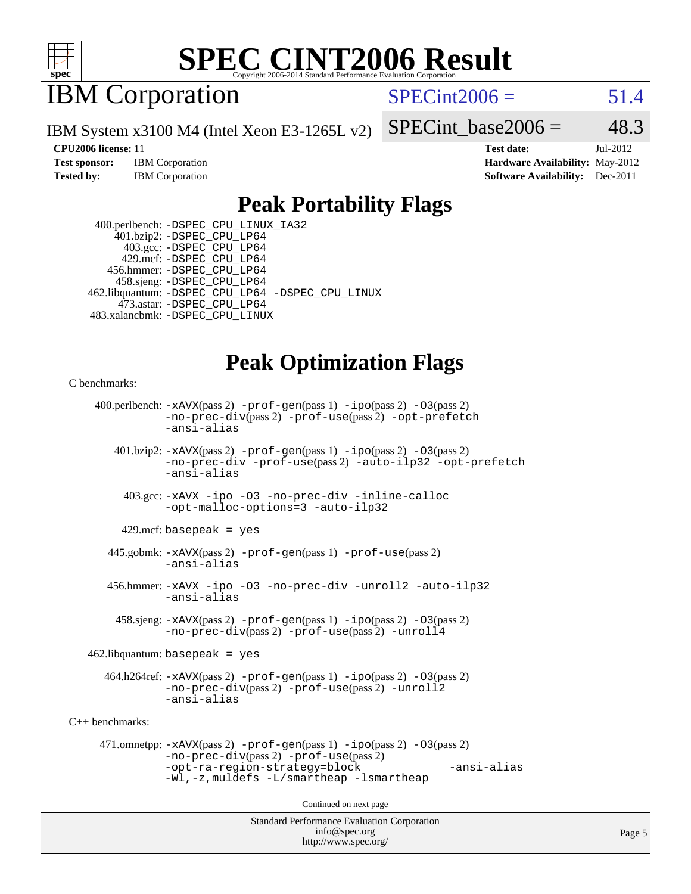

IBM Corporation

 $SPECint2006 = 51.4$  $SPECint2006 = 51.4$ 

IBM System x3100 M4 (Intel Xeon E3-1265L v2)

SPECint base2006 =  $48.3$ 

**[CPU2006 license:](http://www.spec.org/auto/cpu2006/Docs/result-fields.html#CPU2006license)** 11 **[Test date:](http://www.spec.org/auto/cpu2006/Docs/result-fields.html#Testdate)** Jul-2012 **[Test sponsor:](http://www.spec.org/auto/cpu2006/Docs/result-fields.html#Testsponsor)** IBM Corporation **[Hardware Availability:](http://www.spec.org/auto/cpu2006/Docs/result-fields.html#HardwareAvailability)** May-2012 **[Tested by:](http://www.spec.org/auto/cpu2006/Docs/result-fields.html#Testedby)** IBM Corporation **[Software Availability:](http://www.spec.org/auto/cpu2006/Docs/result-fields.html#SoftwareAvailability)** Dec-2011

### **[Peak Portability Flags](http://www.spec.org/auto/cpu2006/Docs/result-fields.html#PeakPortabilityFlags)**

 400.perlbench: [-DSPEC\\_CPU\\_LINUX\\_IA32](http://www.spec.org/cpu2006/results/res2012q3/cpu2006-20120716-23678.flags.html#b400.perlbench_peakCPORTABILITY_DSPEC_CPU_LINUX_IA32) 401.bzip2: [-DSPEC\\_CPU\\_LP64](http://www.spec.org/cpu2006/results/res2012q3/cpu2006-20120716-23678.flags.html#suite_peakPORTABILITY401_bzip2_DSPEC_CPU_LP64) 403.gcc: [-DSPEC\\_CPU\\_LP64](http://www.spec.org/cpu2006/results/res2012q3/cpu2006-20120716-23678.flags.html#suite_peakPORTABILITY403_gcc_DSPEC_CPU_LP64) 429.mcf: [-DSPEC\\_CPU\\_LP64](http://www.spec.org/cpu2006/results/res2012q3/cpu2006-20120716-23678.flags.html#suite_peakPORTABILITY429_mcf_DSPEC_CPU_LP64) 456.hmmer: [-DSPEC\\_CPU\\_LP64](http://www.spec.org/cpu2006/results/res2012q3/cpu2006-20120716-23678.flags.html#suite_peakPORTABILITY456_hmmer_DSPEC_CPU_LP64) 458.sjeng: [-DSPEC\\_CPU\\_LP64](http://www.spec.org/cpu2006/results/res2012q3/cpu2006-20120716-23678.flags.html#suite_peakPORTABILITY458_sjeng_DSPEC_CPU_LP64) 462.libquantum: [-DSPEC\\_CPU\\_LP64](http://www.spec.org/cpu2006/results/res2012q3/cpu2006-20120716-23678.flags.html#suite_peakPORTABILITY462_libquantum_DSPEC_CPU_LP64) [-DSPEC\\_CPU\\_LINUX](http://www.spec.org/cpu2006/results/res2012q3/cpu2006-20120716-23678.flags.html#b462.libquantum_peakCPORTABILITY_DSPEC_CPU_LINUX) 473.astar: [-DSPEC\\_CPU\\_LP64](http://www.spec.org/cpu2006/results/res2012q3/cpu2006-20120716-23678.flags.html#suite_peakPORTABILITY473_astar_DSPEC_CPU_LP64) 483.xalancbmk: [-DSPEC\\_CPU\\_LINUX](http://www.spec.org/cpu2006/results/res2012q3/cpu2006-20120716-23678.flags.html#b483.xalancbmk_peakCXXPORTABILITY_DSPEC_CPU_LINUX)

## **[Peak Optimization Flags](http://www.spec.org/auto/cpu2006/Docs/result-fields.html#PeakOptimizationFlags)**

[C benchmarks](http://www.spec.org/auto/cpu2006/Docs/result-fields.html#Cbenchmarks):

```
Standard Performance Evaluation Corporation
                                          info@spec.org
     400.perlbench: -xAVX(pass 2) -prof-gen(pass 1) -ipo(pass 2) -O3(pass 2)
                -no-prec-div(pass 2) -prof-use(pass 2) -opt-prefetch
                -ansi-alias
        401.bzip2: -xAVX(pass 2) -prof-gen(pass 1) -ipo(pass 2) -O3(pass 2)
                -no-prec-div -prof-use(pass 2) -auto-ilp32 -opt-prefetch
                -ansi-alias
          403.gcc: -xAVX -ipo -O3 -no-prec-div -inline-calloc
                -opt-malloc-options=3 -auto-ilp32
         429.mcf: basepeak = yes
       445.gobmk: -xAVX(pass 2) -prof-gen(pass 1) -prof-use(pass 2)
                -ansi-alias
       456.hmmer: -xAVX -ipo -O3 -no-prec-div -unroll2 -auto-ilp32
                -ansi-alias
         458.sjeng: -xAVX(pass 2) -prof-gen(pass 1) -ipo(pass 2) -O3(pass 2)
                -no-prec-div(pass 2) -prof-use(pass 2) -unroll4
    462.libquantum: basepeak = yes
       464.h264ref: -xAVX(pass 2) -prof-gen(pass 1) -ipo(pass 2) -O3(pass 2)
                -no-prec-div(pass 2) -prof-use(pass 2) -unroll2
                -ansi-alias
C++ benchmarks: 
      471.omnetpp: -xAVX(pass 2) -prof-gen(pass 1) -ipo(pass 2) -O3(pass 2)
                -no-prec-div(pass 2) -prof-use(pass 2)
                -opt-ra-region-strategy=block -ansi-alias
                -Wl,-z,muldefs -L/smartheap -lsmartheap
                                        Continued on next page
```
<http://www.spec.org/>

Page 5